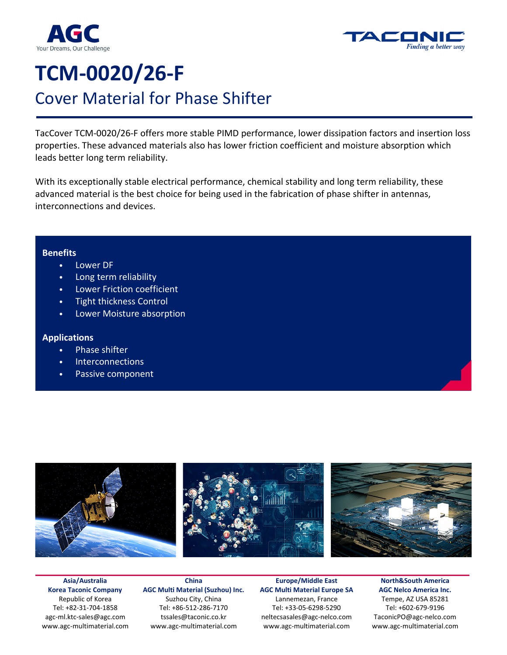



# **TCM-0020/26-F**  Cover Material for Phase Shifter

TacCover TCM-0020/26-F offers more stable PIMD performance, lower dissipation factors and insertion loss properties. These advanced materials also has lower friction coefficient and moisture absorption which leads better long term reliability.

With its exceptionally stable electrical performance, chemical stability and long term reliability, these advanced material is the best choice for being used in the fabrication of phase shifter in antennas, interconnections and devices.

### **Benefits**

- Lower DF
- Long term reliability
- Lower Friction coefficient
- Tight thickness Control
- Lower Moisture absorption

## **Applications**

- Phase shifter
- **Interconnections**
- Passive component



**Asia/Australia Korea Taconic Company**  Republic of Korea Tel: +82-31-704-1858 agc-ml.ktc-sales@agc.com www.agc-multimaterial.com

**China AGC Multi Material (Suzhou) Inc.** Suzhou City, China Tel: +86-512-286-7170 tssales@taconic.co.kr www.agc-multimaterial.com

**Europe/Middle East AGC Multi Material Europe SA**  Lannemezan, France Tel: +33-05-6298-5290 neltecsasales@agc-nelco.com www.agc-multimaterial.com

**North&South America AGC Nelco America Inc.**  Tempe, AZ USA 85281 Tel: +602-679-9196 TaconicPO@agc-nelco.com www.agc-multimaterial.com